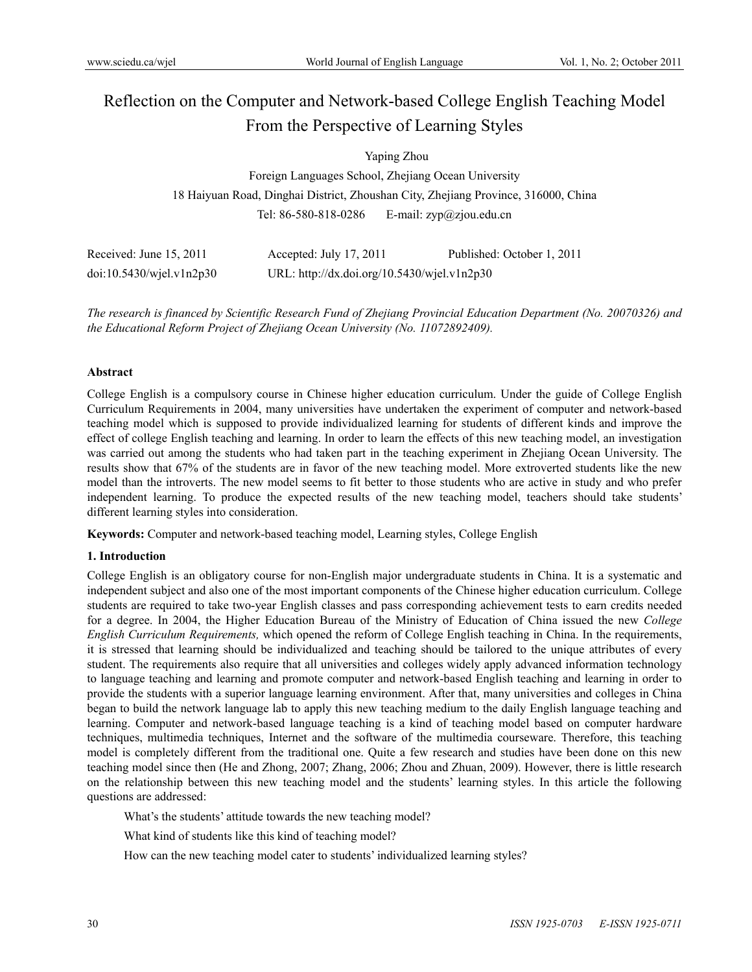# Reflection on the Computer and Network-based College English Teaching Model From the Perspective of Learning Styles

Yaping Zhou

Foreign Languages School, Zhejiang Ocean University 18 Haiyuan Road, Dinghai District, Zhoushan City, Zhejiang Province, 316000, China Tel: 86-580-818-0286 E-mail: zyp@zjou.edu.cn

| Received: June 15, 2011        | Accepted: July $17, 2011$                   | Published: October 1, 2011 |
|--------------------------------|---------------------------------------------|----------------------------|
| $doi:10.5430/w$ jel.v $1n2p30$ | URL: http://dx.doi.org/10.5430/wjel.v1n2p30 |                            |

*The research is financed by Scientific Research Fund of Zhejiang Provincial Education Department (No. 20070326) and the Educational Reform Project of Zhejiang Ocean University (No. 11072892409).*

### **Abstract**

College English is a compulsory course in Chinese higher education curriculum. Under the guide of College English Curriculum Requirements in 2004, many universities have undertaken the experiment of computer and network-based teaching model which is supposed to provide individualized learning for students of different kinds and improve the effect of college English teaching and learning. In order to learn the effects of this new teaching model, an investigation was carried out among the students who had taken part in the teaching experiment in Zhejiang Ocean University. The results show that 67% of the students are in favor of the new teaching model. More extroverted students like the new model than the introverts. The new model seems to fit better to those students who are active in study and who prefer independent learning. To produce the expected results of the new teaching model, teachers should take students' different learning styles into consideration.

**Keywords:** Computer and network-based teaching model, Learning styles, College English

# **1. Introduction**

College English is an obligatory course for non-English major undergraduate students in China. It is a systematic and independent subject and also one of the most important components of the Chinese higher education curriculum. College students are required to take two-year English classes and pass corresponding achievement tests to earn credits needed for a degree. In 2004, the Higher Education Bureau of the Ministry of Education of China issued the new *College English Curriculum Requirements,* which opened the reform of College English teaching in China. In the requirements, it is stressed that learning should be individualized and teaching should be tailored to the unique attributes of every student. The requirements also require that all universities and colleges widely apply advanced information technology to language teaching and learning and promote computer and network-based English teaching and learning in order to provide the students with a superior language learning environment. After that, many universities and colleges in China began to build the network language lab to apply this new teaching medium to the daily English language teaching and learning. Computer and network-based language teaching is a kind of teaching model based on computer hardware techniques, multimedia techniques, Internet and the software of the multimedia courseware. Therefore, this teaching model is completely different from the traditional one. Quite a few research and studies have been done on this new teaching model since then (He and Zhong, 2007; Zhang, 2006; Zhou and Zhuan, 2009). However, there is little research on the relationship between this new teaching model and the students' learning styles. In this article the following questions are addressed:

What's the students' attitude towards the new teaching model?

What kind of students like this kind of teaching model?

How can the new teaching model cater to students' individualized learning styles?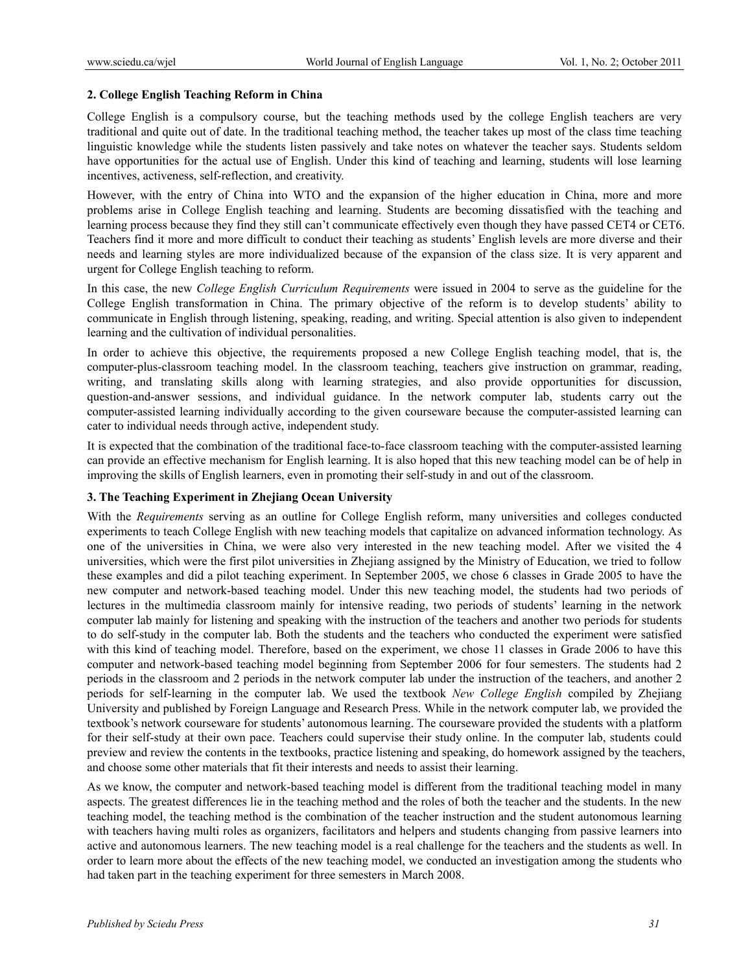## **2. College English Teaching Reform in China**

College English is a compulsory course, but the teaching methods used by the college English teachers are very traditional and quite out of date. In the traditional teaching method, the teacher takes up most of the class time teaching linguistic knowledge while the students listen passively and take notes on whatever the teacher says. Students seldom have opportunities for the actual use of English. Under this kind of teaching and learning, students will lose learning incentives, activeness, self-reflection, and creativity.

However, with the entry of China into WTO and the expansion of the higher education in China, more and more problems arise in College English teaching and learning. Students are becoming dissatisfied with the teaching and learning process because they find they still can't communicate effectively even though they have passed CET4 or CET6. Teachers find it more and more difficult to conduct their teaching as students' English levels are more diverse and their needs and learning styles are more individualized because of the expansion of the class size. It is very apparent and urgent for College English teaching to reform.

In this case, the new *College English Curriculum Requirements* were issued in 2004 to serve as the guideline for the College English transformation in China. The primary objective of the reform is to develop students' ability to communicate in English through listening, speaking, reading, and writing. Special attention is also given to independent learning and the cultivation of individual personalities.

In order to achieve this objective, the requirements proposed a new College English teaching model, that is, the computer-plus-classroom teaching model. In the classroom teaching, teachers give instruction on grammar, reading, writing, and translating skills along with learning strategies, and also provide opportunities for discussion, question-and-answer sessions, and individual guidance. In the network computer lab, students carry out the computer-assisted learning individually according to the given courseware because the computer-assisted learning can cater to individual needs through active, independent study.

It is expected that the combination of the traditional face-to-face classroom teaching with the computer-assisted learning can provide an effective mechanism for English learning. It is also hoped that this new teaching model can be of help in improving the skills of English learners, even in promoting their self-study in and out of the classroom.

# **3. The Teaching Experiment in Zhejiang Ocean University**

With the *Requirements* serving as an outline for College English reform, many universities and colleges conducted experiments to teach College English with new teaching models that capitalize on advanced information technology. As one of the universities in China, we were also very interested in the new teaching model. After we visited the 4 universities, which were the first pilot universities in Zhejiang assigned by the Ministry of Education, we tried to follow these examples and did a pilot teaching experiment. In September 2005, we chose 6 classes in Grade 2005 to have the new computer and network-based teaching model. Under this new teaching model, the students had two periods of lectures in the multimedia classroom mainly for intensive reading, two periods of students' learning in the network computer lab mainly for listening and speaking with the instruction of the teachers and another two periods for students to do self-study in the computer lab. Both the students and the teachers who conducted the experiment were satisfied with this kind of teaching model. Therefore, based on the experiment, we chose 11 classes in Grade 2006 to have this computer and network-based teaching model beginning from September 2006 for four semesters. The students had 2 periods in the classroom and 2 periods in the network computer lab under the instruction of the teachers, and another 2 periods for self-learning in the computer lab. We used the textbook *New College English* compiled by Zhejiang University and published by Foreign Language and Research Press. While in the network computer lab, we provided the textbook's network courseware for students' autonomous learning. The courseware provided the students with a platform for their self-study at their own pace. Teachers could supervise their study online. In the computer lab, students could preview and review the contents in the textbooks, practice listening and speaking, do homework assigned by the teachers, and choose some other materials that fit their interests and needs to assist their learning.

As we know, the computer and network-based teaching model is different from the traditional teaching model in many aspects. The greatest differences lie in the teaching method and the roles of both the teacher and the students. In the new teaching model, the teaching method is the combination of the teacher instruction and the student autonomous learning with teachers having multi roles as organizers, facilitators and helpers and students changing from passive learners into active and autonomous learners. The new teaching model is a real challenge for the teachers and the students as well. In order to learn more about the effects of the new teaching model, we conducted an investigation among the students who had taken part in the teaching experiment for three semesters in March 2008.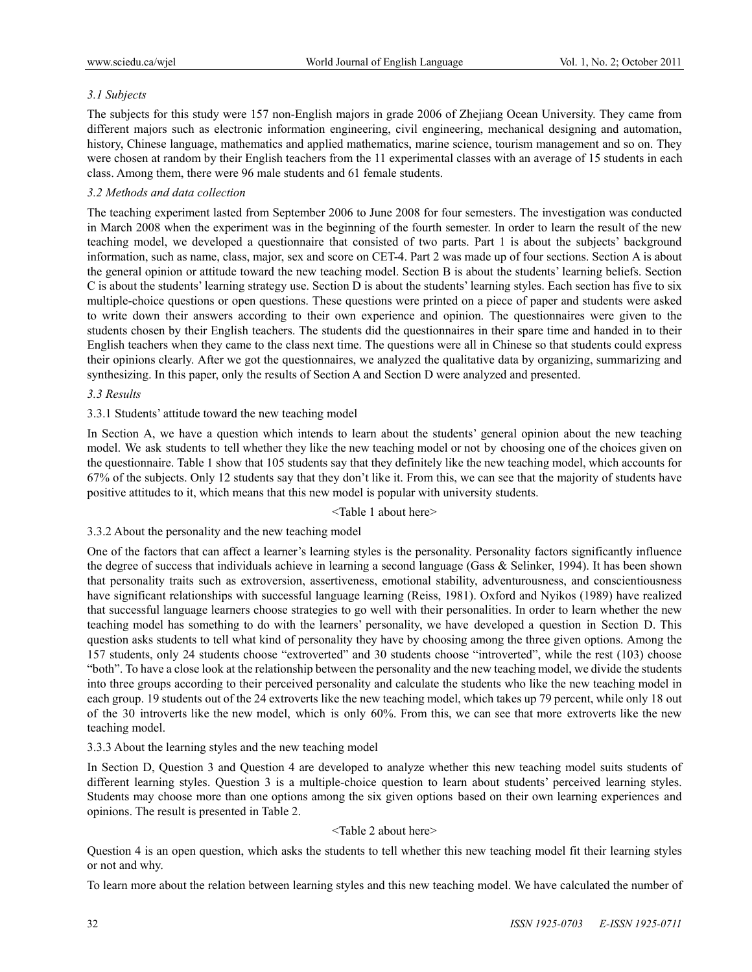## *3.1 Subjects*

The subjects for this study were 157 non-English majors in grade 2006 of Zhejiang Ocean University. They came from different majors such as electronic information engineering, civil engineering, mechanical designing and automation, history, Chinese language, mathematics and applied mathematics, marine science, tourism management and so on. They were chosen at random by their English teachers from the 11 experimental classes with an average of 15 students in each class. Among them, there were 96 male students and 61 female students.

### *3.2 Methods and data collection*

The teaching experiment lasted from September 2006 to June 2008 for four semesters. The investigation was conducted in March 2008 when the experiment was in the beginning of the fourth semester. In order to learn the result of the new teaching model, we developed a questionnaire that consisted of two parts. Part 1 is about the subjects' background information, such as name, class, major, sex and score on CET-4. Part 2 was made up of four sections. Section A is about the general opinion or attitude toward the new teaching model. Section B is about the students' learning beliefs. Section C is about the students' learning strategy use. Section D is about the students' learning styles. Each section has five to six multiple-choice questions or open questions. These questions were printed on a piece of paper and students were asked to write down their answers according to their own experience and opinion. The questionnaires were given to the students chosen by their English teachers. The students did the questionnaires in their spare time and handed in to their English teachers when they came to the class next time. The questions were all in Chinese so that students could express their opinions clearly. After we got the questionnaires, we analyzed the qualitative data by organizing, summarizing and synthesizing. In this paper, only the results of Section A and Section D were analyzed and presented.

### *3.3 Results*

### 3.3.1 Students' attitude toward the new teaching model

In Section A, we have a question which intends to learn about the students' general opinion about the new teaching model. We ask students to tell whether they like the new teaching model or not by choosing one of the choices given on the questionnaire. Table 1 show that 105 students say that they definitely like the new teaching model, which accounts for 67% of the subjects. Only 12 students say that they don't like it. From this, we can see that the majority of students have positive attitudes to it, which means that this new model is popular with university students.

#### <Table 1 about here>

## 3.3.2 About the personality and the new teaching model

One of the factors that can affect a learner's learning styles is the personality. Personality factors significantly influence the degree of success that individuals achieve in learning a second language (Gass & Selinker, 1994). It has been shown that personality traits such as extroversion, assertiveness, emotional stability, adventurousness, and conscientiousness have significant relationships with successful language learning (Reiss, 1981). Oxford and Nyikos (1989) have realized that successful language learners choose strategies to go well with their personalities. In order to learn whether the new teaching model has something to do with the learners' personality, we have developed a question in Section D. This question asks students to tell what kind of personality they have by choosing among the three given options. Among the 157 students, only 24 students choose "extroverted" and 30 students choose "introverted", while the rest (103) choose "both". To have a close look at the relationship between the personality and the new teaching model, we divide the students into three groups according to their perceived personality and calculate the students who like the new teaching model in each group. 19 students out of the 24 extroverts like the new teaching model, which takes up 79 percent, while only 18 out of the 30 introverts like the new model, which is only 60%. From this, we can see that more extroverts like the new teaching model.

#### 3.3.3 About the learning styles and the new teaching model

In Section D, Question 3 and Question 4 are developed to analyze whether this new teaching model suits students of different learning styles. Question 3 is a multiple-choice question to learn about students' perceived learning styles. Students may choose more than one options among the six given options based on their own learning experiences and opinions. The result is presented in Table 2.

#### <Table 2 about here>

Question 4 is an open question, which asks the students to tell whether this new teaching model fit their learning styles or not and why.

To learn more about the relation between learning styles and this new teaching model. We have calculated the number of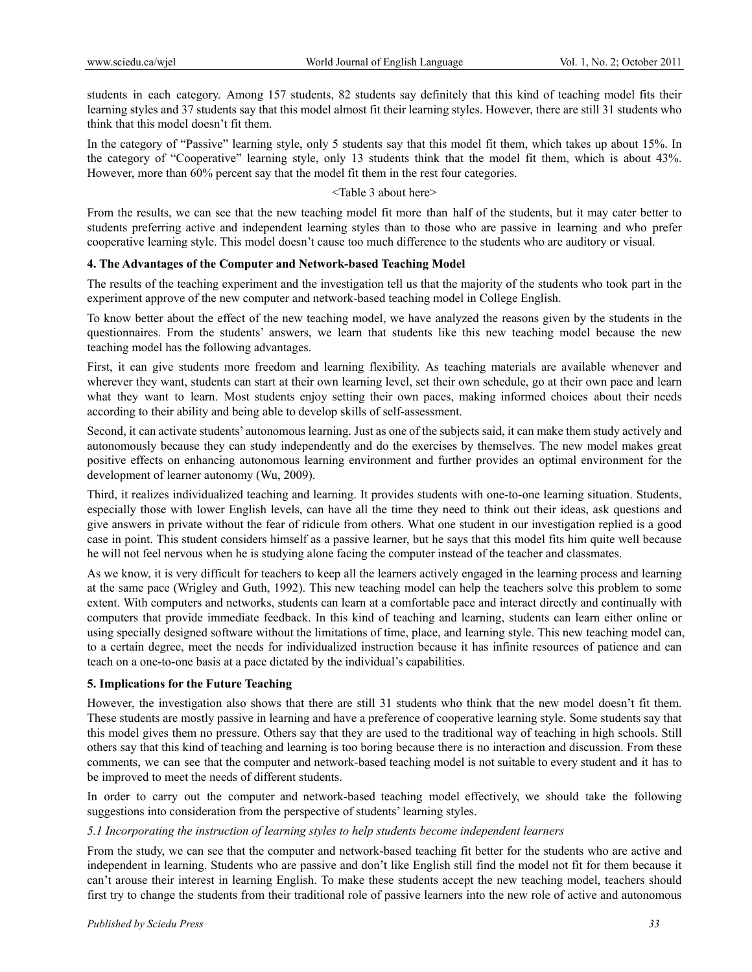students in each category. Among 157 students, 82 students say definitely that this kind of teaching model fits their learning styles and 37 students say that this model almost fit their learning styles. However, there are still 31 students who think that this model doesn't fit them.

In the category of "Passive" learning style, only 5 students say that this model fit them, which takes up about 15%. In the category of "Cooperative" learning style, only 13 students think that the model fit them, which is about 43%. However, more than 60% percent say that the model fit them in the rest four categories.

### <Table 3 about here>

From the results, we can see that the new teaching model fit more than half of the students, but it may cater better to students preferring active and independent learning styles than to those who are passive in learning and who prefer cooperative learning style. This model doesn't cause too much difference to the students who are auditory or visual.

# **4. The Advantages of the Computer and Network-based Teaching Model**

The results of the teaching experiment and the investigation tell us that the majority of the students who took part in the experiment approve of the new computer and network-based teaching model in College English.

To know better about the effect of the new teaching model, we have analyzed the reasons given by the students in the questionnaires. From the students' answers, we learn that students like this new teaching model because the new teaching model has the following advantages.

First, it can give students more freedom and learning flexibility. As teaching materials are available whenever and wherever they want, students can start at their own learning level, set their own schedule, go at their own pace and learn what they want to learn. Most students enjoy setting their own paces, making informed choices about their needs according to their ability and being able to develop skills of self-assessment.

Second, it can activate students' autonomous learning. Just as one of the subjects said, it can make them study actively and autonomously because they can study independently and do the exercises by themselves. The new model makes great positive effects on enhancing autonomous learning environment and further provides an optimal environment for the development of learner autonomy (Wu, 2009).

Third, it realizes individualized teaching and learning. It provides students with one-to-one learning situation. Students, especially those with lower English levels, can have all the time they need to think out their ideas, ask questions and give answers in private without the fear of ridicule from others. What one student in our investigation replied is a good case in point. This student considers himself as a passive learner, but he says that this model fits him quite well because he will not feel nervous when he is studying alone facing the computer instead of the teacher and classmates.

As we know, it is very difficult for teachers to keep all the learners actively engaged in the learning process and learning at the same pace (Wrigley and Guth, 1992). This new teaching model can help the teachers solve this problem to some extent. With computers and networks, students can learn at a comfortable pace and interact directly and continually with computers that provide immediate feedback. In this kind of teaching and learning, students can learn either online or using specially designed software without the limitations of time, place, and learning style. This new teaching model can, to a certain degree, meet the needs for individualized instruction because it has infinite resources of patience and can teach on a one-to-one basis at a pace dictated by the individual's capabilities.

# **5. Implications for the Future Teaching**

However, the investigation also shows that there are still 31 students who think that the new model doesn't fit them. These students are mostly passive in learning and have a preference of cooperative learning style. Some students say that this model gives them no pressure. Others say that they are used to the traditional way of teaching in high schools. Still others say that this kind of teaching and learning is too boring because there is no interaction and discussion. From these comments, we can see that the computer and network-based teaching model is not suitable to every student and it has to be improved to meet the needs of different students.

In order to carry out the computer and network-based teaching model effectively, we should take the following suggestions into consideration from the perspective of students' learning styles.

# *5.1 Incorporating the instruction of learning styles to help students become independent learners*

From the study, we can see that the computer and network-based teaching fit better for the students who are active and independent in learning. Students who are passive and don't like English still find the model not fit for them because it can't arouse their interest in learning English. To make these students accept the new teaching model, teachers should first try to change the students from their traditional role of passive learners into the new role of active and autonomous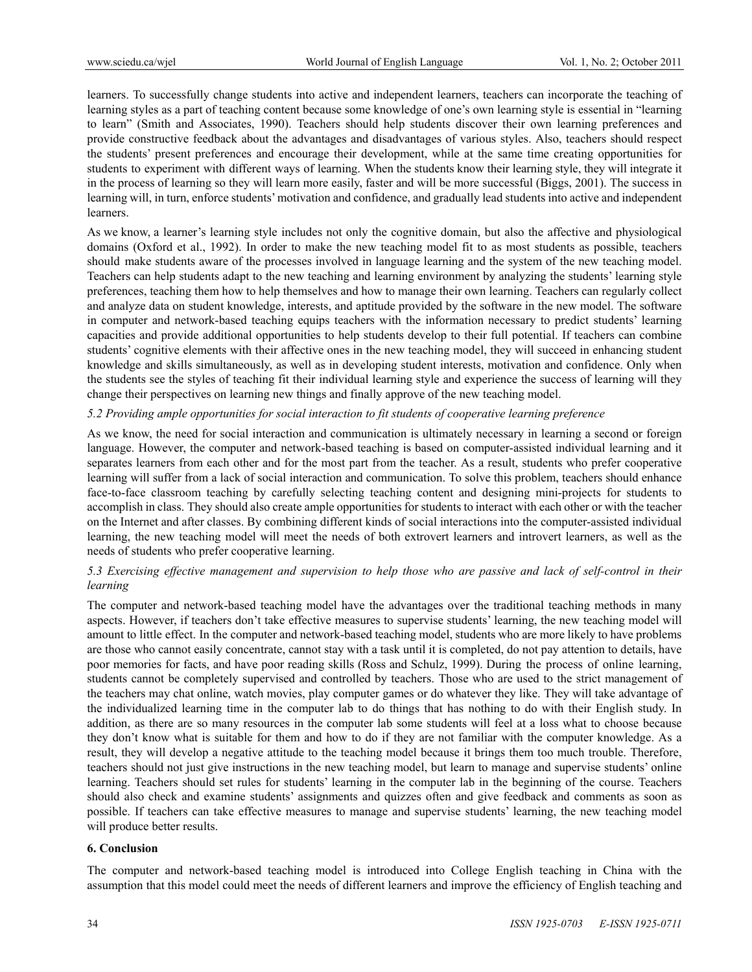learners. To successfully change students into active and independent learners, teachers can incorporate the teaching of learning styles as a part of teaching content because some knowledge of one's own learning style is essential in "learning to learn" (Smith and Associates, 1990). Teachers should help students discover their own learning preferences and provide constructive feedback about the advantages and disadvantages of various styles. Also, teachers should respect the students' present preferences and encourage their development, while at the same time creating opportunities for students to experiment with different ways of learning. When the students know their learning style, they will integrate it in the process of learning so they will learn more easily, faster and will be more successful (Biggs, 2001). The success in learning will, in turn, enforce students' motivation and confidence, and gradually lead students into active and independent learners.

As we know, a learner's learning style includes not only the cognitive domain, but also the affective and physiological domains (Oxford et al., 1992). In order to make the new teaching model fit to as most students as possible, teachers should make students aware of the processes involved in language learning and the system of the new teaching model. Teachers can help students adapt to the new teaching and learning environment by analyzing the students' learning style preferences, teaching them how to help themselves and how to manage their own learning. Teachers can regularly collect and analyze data on student knowledge, interests, and aptitude provided by the software in the new model. The software in computer and network-based teaching equips teachers with the information necessary to predict students' learning capacities and provide additional opportunities to help students develop to their full potential. If teachers can combine students' cognitive elements with their affective ones in the new teaching model, they will succeed in enhancing student knowledge and skills simultaneously, as well as in developing student interests, motivation and confidence. Only when the students see the styles of teaching fit their individual learning style and experience the success of learning will they change their perspectives on learning new things and finally approve of the new teaching model.

# *5.2 Providing ample opportunities for social interaction to fit students of cooperative learning preference*

As we know, the need for social interaction and communication is ultimately necessary in learning a second or foreign language. However, the computer and network-based teaching is based on computer-assisted individual learning and it separates learners from each other and for the most part from the teacher. As a result, students who prefer cooperative learning will suffer from a lack of social interaction and communication. To solve this problem, teachers should enhance face-to-face classroom teaching by carefully selecting teaching content and designing mini-projects for students to accomplish in class. They should also create ample opportunities for students to interact with each other or with the teacher on the Internet and after classes. By combining different kinds of social interactions into the computer-assisted individual learning, the new teaching model will meet the needs of both extrovert learners and introvert learners, as well as the needs of students who prefer cooperative learning.

# *5.3 Exercising effective management and supervision to help those who are passive and lack of self-control in their learning*

The computer and network-based teaching model have the advantages over the traditional teaching methods in many aspects. However, if teachers don't take effective measures to supervise students' learning, the new teaching model will amount to little effect. In the computer and network-based teaching model, students who are more likely to have problems are those who cannot easily concentrate, cannot stay with a task until it is completed, do not pay attention to details, have poor memories for facts, and have poor reading skills (Ross and Schulz, 1999). During the process of online learning, students cannot be completely supervised and controlled by teachers. Those who are used to the strict management of the teachers may chat online, watch movies, play computer games or do whatever they like. They will take advantage of the individualized learning time in the computer lab to do things that has nothing to do with their English study. In addition, as there are so many resources in the computer lab some students will feel at a loss what to choose because they don't know what is suitable for them and how to do if they are not familiar with the computer knowledge. As a result, they will develop a negative attitude to the teaching model because it brings them too much trouble. Therefore, teachers should not just give instructions in the new teaching model, but learn to manage and supervise students' online learning. Teachers should set rules for students' learning in the computer lab in the beginning of the course. Teachers should also check and examine students' assignments and quizzes often and give feedback and comments as soon as possible. If teachers can take effective measures to manage and supervise students' learning, the new teaching model will produce better results.

# **6. Conclusion**

The computer and network-based teaching model is introduced into College English teaching in China with the assumption that this model could meet the needs of different learners and improve the efficiency of English teaching and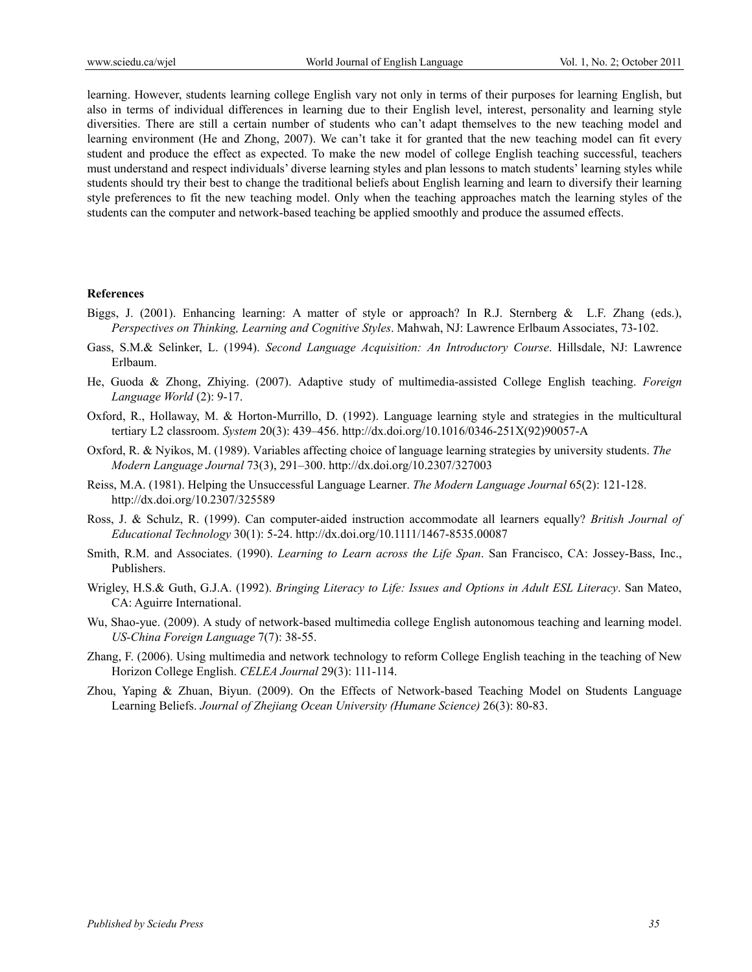learning. However, students learning college English vary not only in terms of their purposes for learning English, but also in terms of individual differences in learning due to their English level, interest, personality and learning style diversities. There are still a certain number of students who can't adapt themselves to the new teaching model and learning environment (He and Zhong, 2007). We can't take it for granted that the new teaching model can fit every student and produce the effect as expected. To make the new model of college English teaching successful, teachers must understand and respect individuals' diverse learning styles and plan lessons to match students' learning styles while students should try their best to change the traditional beliefs about English learning and learn to diversify their learning style preferences to fit the new teaching model. Only when the teaching approaches match the learning styles of the students can the computer and network-based teaching be applied smoothly and produce the assumed effects.

#### **References**

- Biggs, J. (2001). Enhancing learning: A matter of style or approach? In R.J. Sternberg & L.F. Zhang (eds.), *Perspectives on Thinking, Learning and Cognitive Styles*. Mahwah, NJ: Lawrence Erlbaum Associates, 73-102.
- Gass, S.M.& Selinker, L. (1994). *Second Language Acquisition: An Introductory Course*. Hillsdale, NJ: Lawrence Erlbaum.
- He, Guoda & Zhong, Zhiying. (2007). Adaptive study of multimedia-assisted College English teaching. *Foreign Language World* (2): 9-17.
- Oxford, R., Hollaway, M. & Horton-Murrillo, D. (1992). Language learning style and strategies in the multicultural tertiary L2 classroom. *System* 20(3): 439–456. http://dx.doi.org/10.1016/0346-251X(92)90057-A
- Oxford, R. & Nyikos, M. (1989). Variables affecting choice of language learning strategies by university students. *The Modern Language Journal* 73(3), 291–300. http://dx.doi.org/10.2307/327003
- Reiss, M.A. (1981). Helping the Unsuccessful Language Learner. *The Modern Language Journal* 65(2): 121-128. http://dx.doi.org/10.2307/325589
- Ross, J. & Schulz, R. (1999). Can computer-aided instruction accommodate all learners equally? *British Journal of Educational Technology* 30(1): 5-24. http://dx.doi.org/10.1111/1467-8535.00087
- Smith, R.M. and Associates. (1990). *Learning to Learn across the Life Span*. San Francisco, CA: Jossey-Bass, Inc., Publishers.
- Wrigley, H.S.& Guth, G.J.A. (1992). *Bringing Literacy to Life: Issues and Options in Adult ESL Literacy*. San Mateo, CA: Aguirre International.
- Wu, Shao-yue. (2009). A study of network-based multimedia college English autonomous teaching and learning model. *US-China Foreign Language* 7(7): 38-55.
- Zhang, F. (2006). Using multimedia and network technology to reform College English teaching in the teaching of New Horizon College English. *CELEA Journal* 29(3): 111-114.
- Zhou, Yaping & Zhuan, Biyun. (2009). On the Effects of Network-based Teaching Model on Students Language Learning Beliefs. *Journal of Zhejiang Ocean University (Humane Science)* 26(3): 80-83.